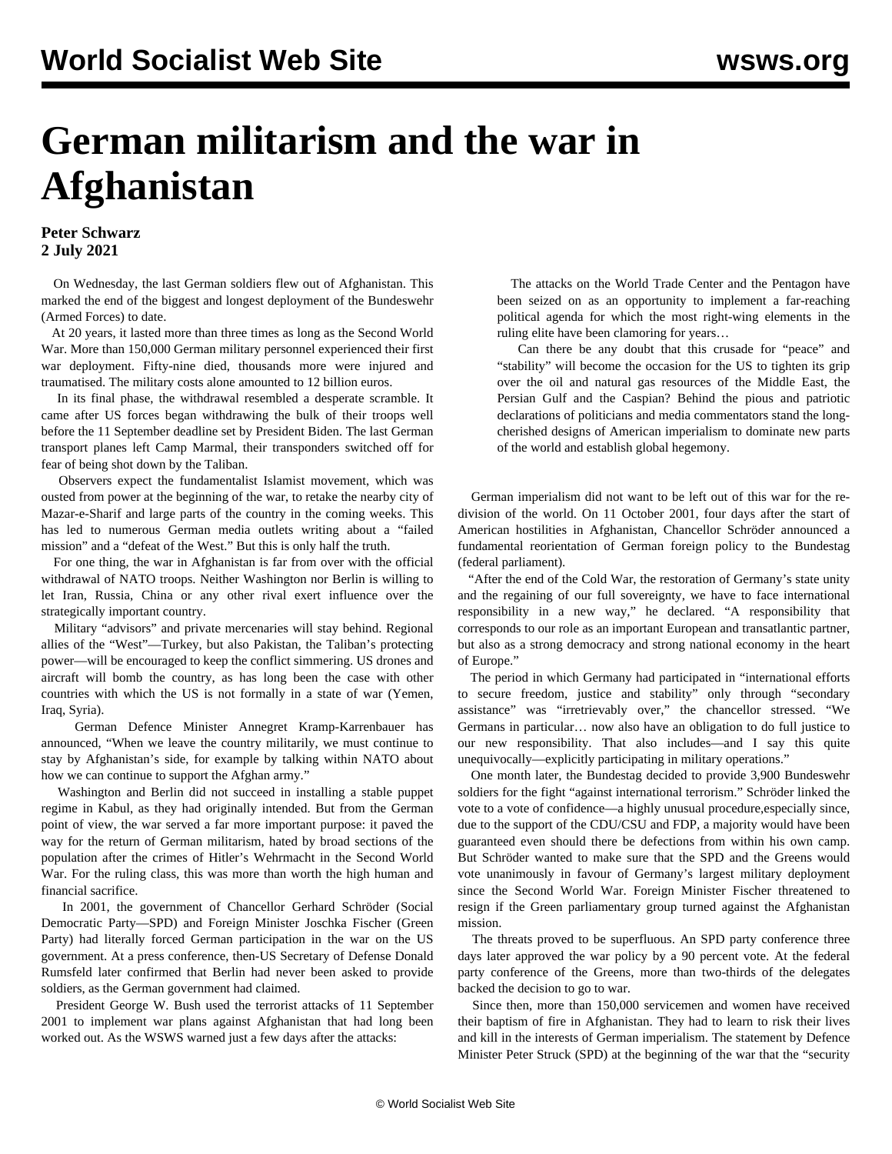## **German militarism and the war in Afghanistan**

## **Peter Schwarz 2 July 2021**

 On Wednesday, the last German soldiers flew out of Afghanistan. This marked the end of the biggest and longest deployment of the Bundeswehr (Armed Forces) to date.

 At 20 years, it lasted more than three times as long as the Second World War. More than 150,000 German military personnel experienced their first war deployment. Fifty-nine died, thousands more were injured and traumatised. The military costs alone amounted to 12 billion euros.

 In its final phase, the withdrawal resembled a desperate scramble. It came after US forces began withdrawing the bulk of their troops well before the 11 September deadline set by President Biden. The last German transport planes left Camp Marmal, their transponders switched off for fear of being shot down by the Taliban.

 Observers expect the fundamentalist Islamist movement, which was ousted from power at the beginning of the war, to retake the nearby city of Mazar-e-Sharif and large parts of the country in the coming weeks. This has led to numerous German media outlets writing about a "failed mission" and a "defeat of the West." But this is only half the truth.

 For one thing, the war in Afghanistan is far from over with the official withdrawal of NATO troops. Neither Washington nor Berlin is willing to let Iran, Russia, China or any other rival exert influence over the strategically important country.

 Military "advisors" and private mercenaries will stay behind. Regional allies of the "West"—Turkey, but also Pakistan, the Taliban's protecting power—will be encouraged to keep the conflict simmering. US drones and aircraft will bomb the country, as has long been the case with other countries with which the US is not formally in a state of war (Yemen, Iraq, Syria).

 German Defence Minister Annegret Kramp-Karrenbauer has announced, "When we leave the country militarily, we must continue to stay by Afghanistan's side, for example by talking within NATO about how we can continue to support the Afghan army."

 Washington and Berlin did not succeed in installing a stable puppet regime in Kabul, as they had originally intended. But from the German point of view, the war served a far more important purpose: it paved the way for the return of German militarism, hated by broad sections of the population after the crimes of Hitler's Wehrmacht in the Second World War. For the ruling class, this was more than worth the high human and financial sacrifice.

 In 2001, the government of Chancellor Gerhard Schröder (Social Democratic Party—SPD) and Foreign Minister Joschka Fischer (Green Party) had literally forced German participation in the war on the US government. At a press conference, then-US Secretary of Defense Donald Rumsfeld later confirmed that Berlin had never been asked to provide soldiers, as the German government had claimed.

 President George W. Bush used the terrorist attacks of 11 September 2001 to implement war plans against Afghanistan that had long been worked out. As the WSWS [warned](/en/articles/2001/09/war-s14.html) just a few days after the attacks:

 The attacks on the World Trade Center and the Pentagon have been seized on as an opportunity to implement a far-reaching political agenda for which the most right-wing elements in the ruling elite have been clamoring for years…

 Can there be any doubt that this crusade for "peace" and "stability" will become the occasion for the US to tighten its grip over the oil and natural gas resources of the Middle East, the Persian Gulf and the Caspian? Behind the pious and patriotic declarations of politicians and media commentators stand the longcherished designs of American imperialism to dominate new parts of the world and establish global hegemony.

 German imperialism did not want to be left out of this war for the redivision of the world. On 11 October 2001, four days after the start of American hostilities in Afghanistan, Chancellor Schröder [announced](/en/articles/2001/11/germ-n08.html) a fundamental reorientation of German foreign policy to the Bundestag (federal parliament).

 "After the end of the Cold War, the restoration of Germany's state unity and the regaining of our full sovereignty, we have to face international responsibility in a new way," he declared. "A responsibility that corresponds to our role as an important European and transatlantic partner, but also as a strong democracy and strong national economy in the heart of Europe."

 The period in which Germany had participated in "international efforts to secure freedom, justice and stability" only through "secondary assistance" was "irretrievably over," the chancellor stressed. "We Germans in particular… now also have an obligation to do full justice to our new responsibility. That also includes—and I say this quite unequivocally—explicitly participating in military operations."

 One month later, the Bundestag decided to provide 3,900 Bundeswehr soldiers for the fight "against international terrorism." Schröder linked the vote to a vote of confidence—a highly unusual procedure,especially since, due to the support of the CDU/CSU and FDP, a majority would have been guaranteed even should there be defections from within his own camp. But Schröder wanted to make sure that the SPD and the Greens would vote unanimously in favour of Germany's largest military deployment since the Second World War. Foreign Minister Fischer threatened to resign if the Green parliamentary group turned against the Afghanistan mission.

 The threats proved to be superfluous. An SPD party conference three days later approved the war policy by a 90 percent vote. At the federal party conference of the Greens, more than two-thirds of the delegates backed the decision to go to war.

 Since then, more than 150,000 servicemen and women have received their baptism of fire in Afghanistan. They had to learn to risk their lives and kill in the interests of German imperialism. The statement by Defence Minister Peter Struck (SPD) at the beginning of the war that the "security